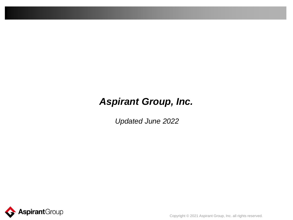# *Aspirant Group, Inc.*

*Updated June 2022*



Copyright © 2021 Aspirant Group, Inc. all rights reserved.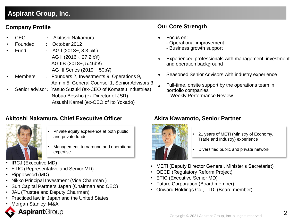### **Aspirant Group, Inc.**

### **Company Profile**

- CEO : Akitoshi Nakamura
- Founded : October 2012
- $Full$   $\qquad$  : AG I (2013~, 8.3 b<sup>2</sup>) AG ll (2016~, 27.2 b¥) AG IIB (2018~, 5.46b¥) AG III Series (2019~, 50b¥)
- Members : Founders 2, Investments 9, Operations 9, Admin 5, General Counsel 1, Senior Advisors 3
- Senior advisor: Yasuo Suzuki (ex-CEO of Komatsu Industries) Nobuo Bessho (ex-Director of JSR) Atsushi Kamei (ex-CEO of Ito Yokado)

### **Akitoshi Nakamura, Chief Executive Officer Akira Kawamoto, Senior Partner**



- Private equity experience at both public and private funds
- Management, turnaround and operational expertise
- IRCJ (Executive MD)
- ETIC (Representative and Senior MD)
- Ripplewood (MD)
- Nikko Principal Investment (Vice Chairman )
- Sun Capital Partners Japan (Chairman and CEO)
- JAL (Trustee and Deputy Chairman)
- Practiced law in Japan and the United States
- Morgan Stanley, M&A



### **Our Core Strength**

- Focus on:
	- Operational improvement
	- Business growth support
- Experienced professionals with management, investment and operation background
- Seasoned Senior Advisors with industry experience
- Full-time, onsite support by the operations team in portfolio companies
	- Weekly Performance Review



- 21 years of METI (Ministry of Economy, Trade and Industry) experience
- Diversified public and private network
- METI (Deputy Director General, Minister's Secretariat)
- OECD (Regulatory Reform Project)
- ETIC (Executive Senior MD)
- Future Corporation (Board member)
- Onward Holdings Co., LTD. (Board member)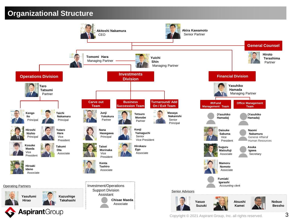## **Organizational Structure**

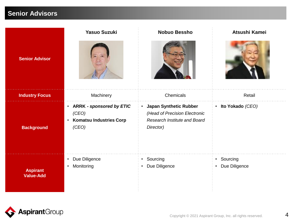## **Senior Advisors**

|                                     | <b>Yasuo Suzuki</b>                                                                         | <b>Nobuo Bessho</b>                                                                                    | Atsushi Kamei                            |
|-------------------------------------|---------------------------------------------------------------------------------------------|--------------------------------------------------------------------------------------------------------|------------------------------------------|
| <b>Senior Advisor</b>               |                                                                                             |                                                                                                        |                                          |
| <b>Industry Focus</b>               | Machinery                                                                                   | Chemicals                                                                                              | Retail                                   |
| <b>Background</b>                   | • ARRK - sponsored by ETIC<br>(CEO)<br><b>Komatsu Industries Corp</b><br>$\bullet$<br>(CEO) | • Japan Synthetic Rubber<br>(Head of Precision Electronic<br>Research Institute and Board<br>Director) | • Ito Yokado (CEO)                       |
| <b>Aspirant</b><br><b>Value-Add</b> | Due Diligence<br>$\bullet$<br>Monitoring<br>$\bullet$                                       | • Sourcing<br>• Due Diligence                                                                          | • Sourcing<br>Due Diligence<br>$\bullet$ |

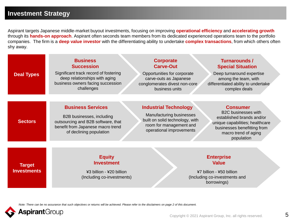### **Investment Strategy**

Aspirant targets Japanese middle-market buyout investments, focusing on improving **operational efficiency** and **accelerating growth**  through its **hands-on approach**. Aspirant often seconds team members from its dedicated experienced operations team to the portfolio companies. The firm is a **deep value investor** with the differentiating ability to undertake **complex transactions**, from which others often shy away.

| <b>Deal Types</b>                   | <b>Business</b><br><b>Succession</b><br>Significant track record of fostering<br>deep relationships with aging<br>business owners facing succession<br>challenges | <b>Corporate</b><br><b>Carve-Out</b><br>Opportunities for corporate<br>carve-outs as Japanese<br>conglomerates divest non-core<br>business units   | Turnarounds /<br><b>Special Situation</b><br>Deep turnaround expertise<br>among the team, with<br>differentiated ability to undertake<br>complex deals                             |
|-------------------------------------|-------------------------------------------------------------------------------------------------------------------------------------------------------------------|----------------------------------------------------------------------------------------------------------------------------------------------------|------------------------------------------------------------------------------------------------------------------------------------------------------------------------------------|
| <b>Sectors</b>                      | <b>Business Services</b><br>B2B businesses, including<br>outsourcing and B2B software, that<br>benefit from Japanese macro trend<br>of declining population       | <b>Industrial Technology</b><br>Manufacturing businesses<br>built on solid technology, with<br>room for management and<br>operational improvements | <b>Consumer</b><br><b>B2C businesses with</b><br>established brands and/or<br>unique capabilities; healthcare<br>businesses benefitting from<br>macro trend of aging<br>population |
| <b>Target</b><br><b>Investments</b> | <b>Equity</b><br><b>Investment</b><br>¥3 billion - ¥20 billion<br>(Including co-investments)                                                                      |                                                                                                                                                    | <b>Enterprise</b><br><b>Value</b><br>¥7 billion - ¥50 billion<br>(Including co-investments and<br>borrowings)                                                                      |

*Note: There can be no assurance that such objectives or returns will be achieved. Please refer to the disclaimers on page 2 of this document.*

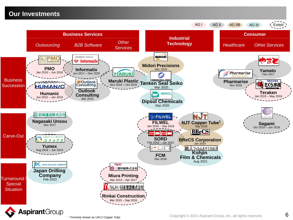### **Our Investments**

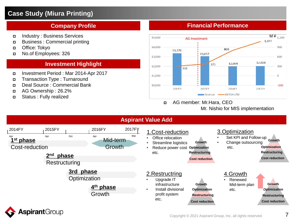### **Case Study (Miura Printing)**

### **Company Profile**

- Industry : Business Services
- Business : Commercial printing
- Office: Tokyo
- No.of Employees: 326

### **Investment Highlight**

- Investment Period : Mar 2014-Apr 2017
- Transaction Type : Turnaround
- Deal Source : Commercial Bank
- AG Ownership : 26.2%
- Status : Fully realized

### **Financial Performance**



 AG member: Mr.Hara, CEO Mr. Nishio for MIS implementation

### **Aspirant Value Add**



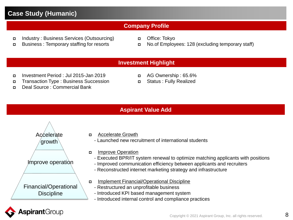### **Case Study (Humanic)**

### **Company Profile**

- Industry : Business Services (Outsourcing)
- Business : Temporary staffing for resorts
- Office: Tokyo
- No.of Employees: 128 (excluding temporary staff)

### **Investment Highlight**

- Investment Period : Jul 2015-Jan 2019
- Transaction Type : Business Succession
- Deal Source : Commercial Bank
- AG Ownership : 65.6%
- Status : Fully Realized

### **Aspirant Value Add**



- Accelerate Growth
	- Launched new recruitment of international students
- **Improve Operation** 
	- Executed BPR/IT system renewal to optimize matching applicants with positions
	- Improved communication efficiency between applicants and recruiters
	- Reconstructed internet marketing strategy and infrastructure
- Implement Financial/Operational Discipline
	- Restructured an unprofitable business
	- Introduced KPI based management system
	- Introduced internal control and compliance practices

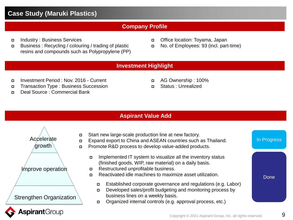### **Case Study (Maruki Plastics)**

### **Company Profile**

- Industry : Business Services
- Business : Recycling / colouring / trading of plastic resins and compounds such as Polypropylene (PP)
- Office location: Toyama, Japan
- No. of Employees: 93 (incl. part-time)

### **Investment Highlight**

- Investment Period : Nov. 2016 Current
- Transaction Type : Business Succession
- Deal Source : Commercial Bank
- AG Ownership : 100%
- Status : Unrealized

### **Aspirant Value Add**



- Implemented IT system to visualize all the inventory status (finished goods, WIP, raw material) on a daily basis. Restructured unprofitable business. Start new large-scale production line at new factory. Expand export to China and ASEAN countries such as Thailand. **Promote R&D process to develop value-added products.** 
	- Reactivated idle machines to maximize asset utilization.
		- Established corporate governance and regulations (e.g. Labor)
		- Developed sales/profit budgeting and monitoring process by business lines on a weekly basis.
		- Organized internal controls (e.g. approval process, etc.)

In Progress

Done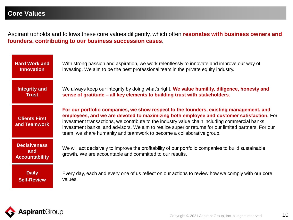Aspirant upholds and follows these core values diligently, which often **resonates with business owners and founders, contributing to our business succession cases**.



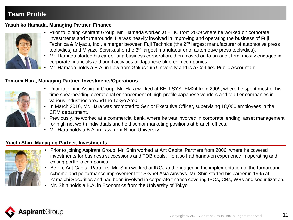#### **Yasuhiko Hamada, Managing Partner, Finance**



- Prior to joining Aspirant Group, Mr. Hamada worked at ETIC from 2009 where he worked on corporate investments and turnarounds. He was heavily involved in improving and operating the business of Fuji Technica & Miyazu, Inc., a merger between Fuji Technica (the 2<sup>nd</sup> largest manufacturer of automotive press tools/dies) and Miyazu Seisakusho (the 3rd largest manufacturer of automotive press tools/dies).
- Mr. Hamada started his career at a business corporation, then moved on to an audit firm, mostly engaged in corporate financials and audit activities of Japanese blue-chip companies.
- Mr. Hamada holds a B.A. in Law from Gakushuin University and is a Certified Public Accountant.

### **Tomomi Hara, Managing Partner, Investments/Operations**



- Prior to joining Aspirant Group, Mr. Hara worked at BELLSYSTEM24 from 2009, where he spent most of his time spearheading operational enhancement of high-profile Japanese vendors and top-tier companies in various industries around the Tokyo Area.
- In March 2010, Mr. Hara was promoted to Senior Executive Officer, supervising 18,000 employees in the CRM department.
- Previously, he worked at a commercial bank, where he was involved in corporate lending, asset management for high net worth individuals and held senior marketing positions at branch offices.
- Mr. Hara holds a B.A. in Law from Nihon University.

#### **Yuichi Shin, Managing Partner, Investments**



- Prior to joining Aspirant Group, Mr. Shin worked at Ant Capital Partners from 2006, where he covered investments for business successions and TOB deals. He also had hands-on experience in operating and exiting portfolio companies.
- Before Ant Capital Partners, Mr. Shin worked at IRCJ and engaged in the implementation of the turnaround scheme and performance improvement for Skynet Asia Airways. Mr. Shin started his career in 1995 at Yamaichi Securities and had been involved in corporate finance covering IPOs, CBs, WBs and securitization.
- Mr. Shin holds a B.A. in Economics from the University of Tokyo.

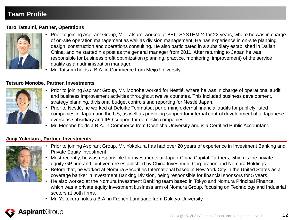### **Taro Tatsumi, Partner, Operations**



- Prior to joining Aspirant Group, Mr. Tatsumi worked at BELLSYSTEM24 for 22 years, where he was in charge of on-site operation management as well as division management. He has experience in on-site planning, design, construction and operations consulting. He also participated in a subsidiary established in Dalian, China, and he started his post as the general manager from 2011. After returning to Japan he was responsible for business profit optimization (planning, practice, monitoring, improvement) of the service quality as an administration manager.
- Mr. Tatsumi holds a B.A. in Commerce from Meijo University.

#### **Tetsuro Monobe, Partner, Investments**



- Prior to joining Aspirant Group, Mr. Monobe worked for Nestlé, where he was in charge of operational audit and business improvement activities throughout twelve countries. This included business development, strategy planning, divisional budget controls and reporting for Nestlé Japan.
- Prior to Nestlé, he worked at Deloitte Tohmatsu, performing external financial audits for publicly listed companies in Japan and the US, as well as providing support for internal control development of a Japanese overseas subsidiary and IPO support for domestic companies.
- Mr. Monobe holds a B.A. in Commerce from Doshisha University and is a Certified Public Accountant.

#### **Junji Yokokura, Partner, Investments**



- Prior to joining Aspirant Group, Mr. Yokokura has had over 20 years of experience in Investment Banking and Private Equity Investment.
- Most recently, he was responsible for investments at Japan-China Capital Partners, which is the private equity GP firm and joint venture established by China Investment Corporation and Nomura Holdings.
- Before that, he worked at Nomura Securities International based in New York City in the United States as a coverage banker in Investment Banking Division, being responsible for financial sponsors for 5 years.
- He also worked at the Nomura Investment Banking team based in Tokyo and Nomura Principal Finance, which was a private equity investment business arm of Nomura Group, focusing on Technology and Industrial sectors at both firms.
- Mr. Yokokura holds a B.A. in French Language from Dokkyo University

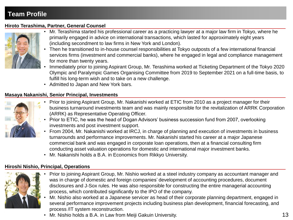### **Hiroto Terashima, Partner, General Counsel**



- Mr. Terashima started his professional career as a practicing lawyer at a major law firm in Tokyo, where he primarily engaged in advice on international transactions, which lasted for approximately eight years (including secondment to law firms in New York and London).
- Then he transitioned to in-house counsel responsibilities at Tokyo outposts of a few international financial services firms (investment and commercial banks), where he engaged in legal and compliance management for more than twenty years.
- Immediately prior to joining Aspirant Group, Mr. Terashima worked at Ticketing Department of the Tokyo 2020 Olympic and Paralympic Games Organising Committee from 2019 to September 2021 on a full-time basis, to fulfill his long-term wish and to take on a new challenge.
- Admitted to Japan and New York bars.

### **Masaya Nakanishi, Senior Principal, Investments**



- Prior to joining Aspirant Group, Mr. Nakanishi worked at ETIC from 2010 as a project manager for their business turnaround investments team and was mainly responsible for the revitalization of ARRK Corporation (ARRK) as Representative Operating Officer.
- Prior to ETIC, he was the head of Dogan Advisors' business succession fund from 2007, overlooking investments and post investment support.
- From 2004, Mr. Nakanishi worked at IRCJ, in charge of planning and execution of investments in business turnarounds and performance improvements. Mr. Nakanishi started his career at a major Japanese commercial bank and was engaged in corporate loan operations, then at a financial consulting firm conducting asset valuation operations for domestic and international major investment banks.
- Mr. Nakanishi holds a B.A. in Economics from Rikkyo University.

### **Hiroshi Nishio, Principal, Operations**



- Prior to joining Aspirant Group, Mr. Nishio worked at a steel industry company as accountant manager and was in charge of domestic and foreign companies' development of accounting procedures, document disclosures and J-Sox rules. He was also responsible for constructing the entire managerial accounting process, which contributed significantly to the IPO of the company.
- Mr. Nishio also worked at a Japanese servicer as head of their corporate planning department, engaged in several performance improvement projects including business plan development, financial forecasting, and process /IT system reconstruction.
- Copyright © 2021 Aspirant Group, Inc. all rights reserved. • Mr. Nishio holds a B.A. in Law from Meiji Gakuin University. 13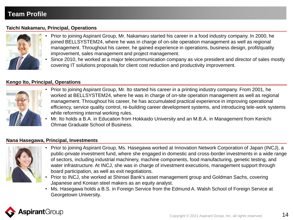### **Taichi Nakamaru, Principal, Operations**



- Prior to joining Aspirant Group, Mr. Nakamaru started his career in a food industry company. In 2000, he joined BELLSYSTEM24, where he was in charge of on-site operation management as well as regional management. Throughout his career, he gained experience in operations, business design, profit/quality improvement, sales management and project management.
	- Since 2010, he worked at a major telecommunication company as vice president and director of sales mostly covering IT solutions proposals for client cost reduction and productivity improvement.

### **Kengo Ito, Principal, Operations**



- Prior to joining Aspirant Group, Mr. Ito started his career in a printing industry company. From 2001, he worked at BELLSYSTEM24, where he was in charge of on-site operation management as well as regional management. Throughout his career, he has accumulated practical experience in improving operational efficiency, service quality control, re-building career development systems, and introducing tele-work systems while reforming internal working rules.
- Mr. Ito holds a B.A. in Education from Hokkaido University and an M.B.A. in Management from Kenichi Ohmae Graduate School of Business.

#### **Nana Hasegawa, Principal, Investments**



- Prior to joining Aspirant Group, Ms. Hasegawa worked at Innovation Network Corporation of Japan (INCJ), a public-private investment fund, where she engaged in domestic and cross-border investments in a wide range of sectors, including industrial machinery, machine components, food manufacturing, genetic testing, and water infrastructure. At INCJ, she was in charge of investment executions, management support through board participation, as well as exit negotiations.
- Prior to INCJ, she worked at Shinsei Bank's asset management group and Goldman Sachs, covering Japanese and Korean steel makers as an equity analyst.
- Ms. Hasegawa holds a B.S. in Foreign Service from the Edmund A. Walsh School of Foreign Service at Georgetown University.

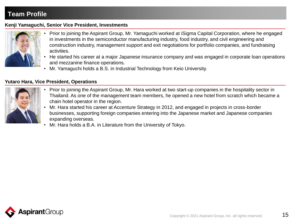#### **Kenji Yamaguchi, Senior Vice President, Investments**



- Prior to joining the Aspirant Group, Mr. Yamaguchi worked at iSigma Capital Corporation, where he engaged in investments in the semiconductor manufacturing industry, food industry, and civil engineering and construction industry, management support and exit negotiations for portfolio companies, and fundraising activities.
- He started his career at a major Japanese insurance company and was engaged in corporate loan operations and mezzanine finance operations.
- Mr. Yamaguchi holds a B.S. in Industrial Technology from Keio University.

#### **Yutaro Hara, Vice President, Operations**



- Prior to joining the Aspirant Group, Mr. Hara worked at two start-up companies in the hospitality sector in Thailand. As one of the management team members, he opened a new hotel from scratch which became a chain hotel operator in the region.
- Mr. Hara started his career at Accenture Strategy in 2012, and engaged in projects in cross-border businesses, supporting foreign companies entering into the Japanese market and Japanese companies expanding overseas.
- Mr. Hara holds a B.A. in Literature from the University of Tokyo.



15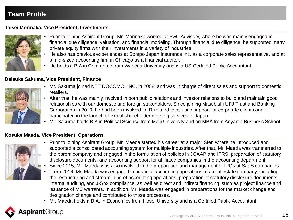#### **Taisei Morinaka, Vice President, Investments**



- Prior to joining Aspirant Group, Mr. Morinaka worked at PwC Advisory, where he was mainly engaged in financial due diligence, valuation, and financial modeling. Through financial due diligence, he supported many private equity firms with their investments in a variety of industries.
- He also has previous experiences at Sompo Japan Insurance Inc. as a corporate sales representative, and at a mid-sized accounting firm in Chicago as a financial auditor.
- He holds a B.A in Commerce from Waseda University and is a US Certified Public Accountant.

#### **Daisuke Sakuma, Vice President, Finance**



- Mr. Sakuma joined NTT DOCOMO, INC. in 2008, and was in charge of direct sales and support to domestic retailers.
- After that, he was mainly involved in both public relations and investor relations to build and maintain good relationships with our domestic and foreign stakeholders. Since joining Mitsubishi UFJ Trust and Banking Corporation in 2019, he had been involved in IR-related consulting support for corporate clients and participated in the launch of virtual shareholder meeting services in Japan.
- Mr. Sakuma holds B.A in Political Science from Meiji University and an MBA from Aoyama Business School.

### **Kosuke Maeda, Vice President, Operations**



- Prior to joining Aspirant Group, Mr. Maeda started his career at a major SIer, where he introduced and supported a consolidated accounting system for multiple industries. After that, Mr. Maeda was transferred to the parent company and engaged in the formulation of policies in JGAAP and IFRS, preparation of statutory disclosure documents, and accounting support for affiliated companies in the accounting department.
- Since 2015, Mr. Maeda was also involved in the preparation and management of IPOs at SaaS companies.
- From 2016, Mr. Maeda was engaged in financial accounting operations at a real estate company, including the restructuring and streamlining of accounting operations, preparation of statutory disclosure documents, internal auditing, and J-Sox compliance, as well as direct and indirect financing, such as project finance and issuance of MS warrants. In addition, Mr. Maeda was engaged in preparations for the market change and designation change and contributed to those processes.
- Mr. Maeda holds a B.A. in Economics from Hosei University and is a Certified Public Accountant.

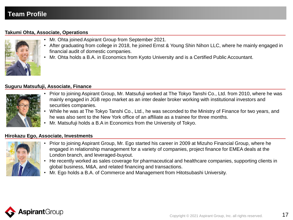#### **Takumi Ohta, Associate, Operations**



- Mr. Ohta joined Aspirant Group from September 2021.
- After graduating from college in 2018, he joined Ernst & Young Shin Nihon LLC, where he mainly engaged in financial audit of domestic companies.
- Mr. Ohta holds a B.A. in Economics from Kyoto University and is a Certified Public Accountant.

#### **Suguru Matsufuji, Associate, Finance**



- Prior to joining Aspirant Group, Mr. Matsufuji worked at The Tokyo Tanshi Co., Ltd. from 2010, where he was mainly engaged in JGB repo market as an inter dealer broker working with institutional investors and securities companies.
- While he was at The Tokyo Tanshi Co., Ltd., he was seconded to the Ministry of Finance for two years, and he was also sent to the New York office of an affiliate as a trainee for three months.
- Mr. Matsufuji holds a B.A in Economics from the University of Tokyo.

#### **Hirokazu Ego, Associate, Investments**



- Prior to joining Aspirant Group, Mr. Ego started his career in 2009 at Mizuho Financial Group, where he engaged in relationship management for a variety of companies, project finance for EMEA deals at the London branch, and leveraged-buyout.
- He recently worked as sales coverage for pharmaceutical and healthcare companies, supporting clients in global business, M&A, and related financing and transactions.
- Mr. Ego holds a B.A. of Commerce and Management from Hitotsubashi University.

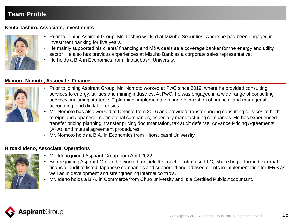#### **Kenta Tashiro, Associate, Investments**



- Prior to joining Aspirant Group, Mr. Tashiro worked at Mizuho Securities, where he had been engaged in investment banking for five years.
- He mainly supported his clients' financing and M&A deals as a coverage banker for the energy and utility sector. He also has previous experiences at Mizuho Bank as a corporate sales representative.
- He holds a B.A in Economics from Hitotsubashi University.

#### **Mamoru Nomoto, Associate, Finance**



- Prior to joining Aspirant Group, Mr. Nomoto worked at PwC since 2019, where he provided consulting services to energy, utilities and mining industries. At PwC, he was engaged in a wide range of consulting services, including strategic IT planning, implementation and optimization of financial and managerial accounting, and digital forensics.
- Mr. Nomoto has also worked at Deloitte from 2016 and provided transfer pricing consulting services to both foreign and Japanese multinational companies, especially manufacturing companies. He has experienced transfer pricing planning, transfer pricing documentation, tax audit defense, Advance Pricing Agreements (APA), and mutual agreement procedures.
- Mr. Nomoto holds a B.A. in Economics from Hitotsubashi University.

#### **Hiroaki Ideno, Associate, Operations**



- Mr. Ideno joined Aspirant Group from April 2022.
- Before joining Aspirant Group, he worked for Deloitte Touche Tohmatsu LLC, where he performed external financial audit of listed Japanese companies and supported and advised clients in implementation for IFRS as well as in development and strengthening internal controls.
	- Mr. Ideno holds a B.A. in Commerce from Chuo university and is a Certified Public Accountant.